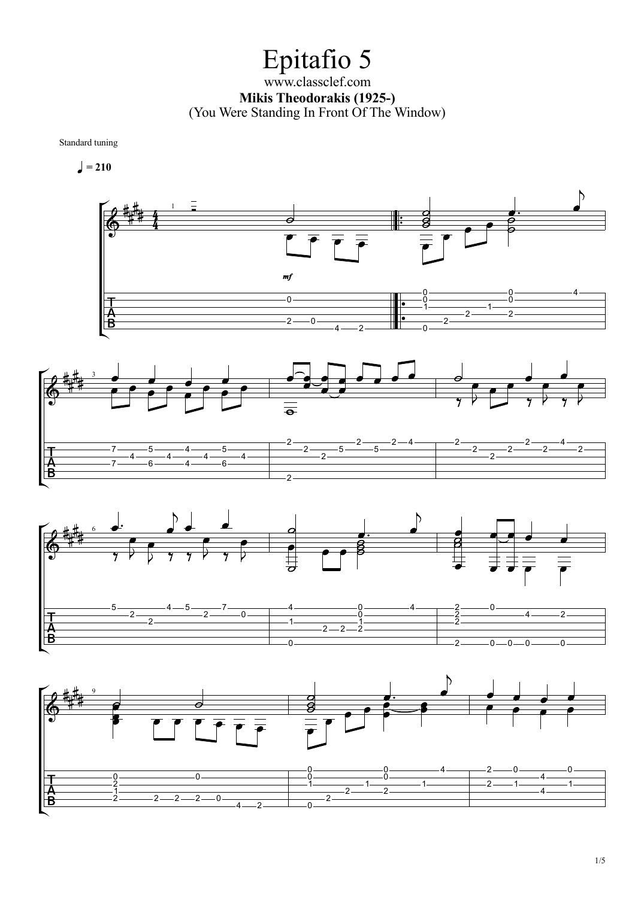## Epitafio 5

www.classclef.com **Mikis Theodorakis (1925-)** (You Were Standing In Front Of The Window)

Standard tuning

 $= 210$ 



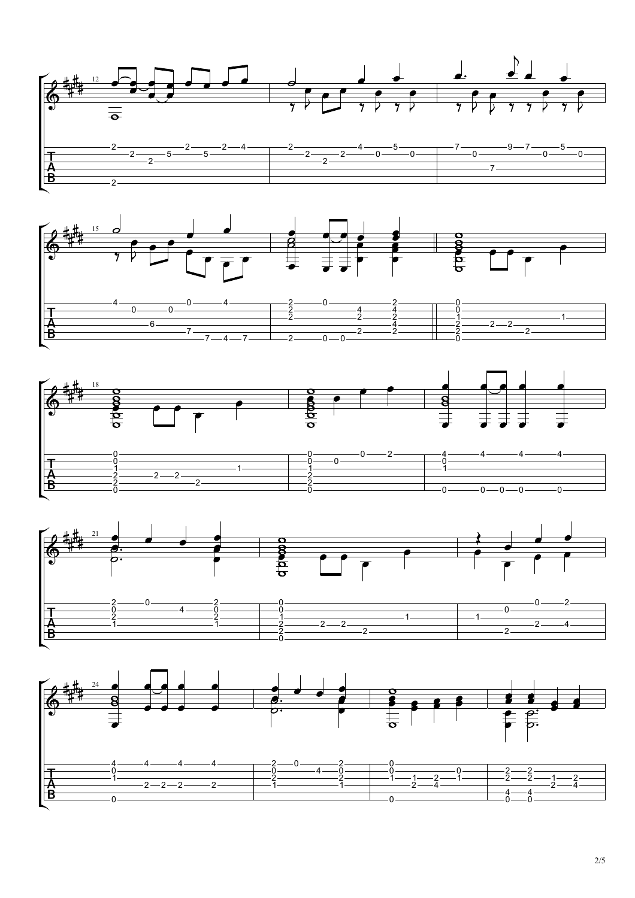







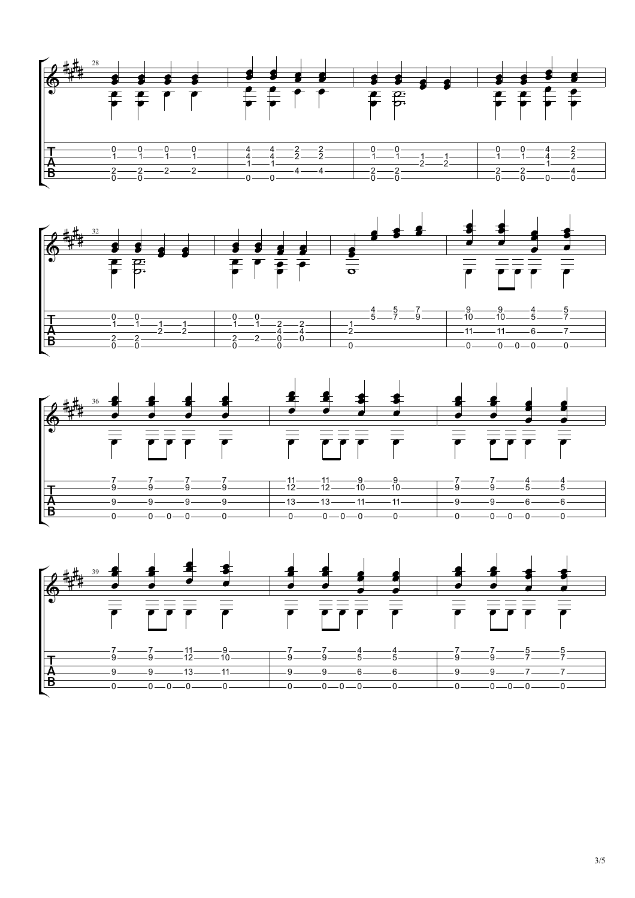





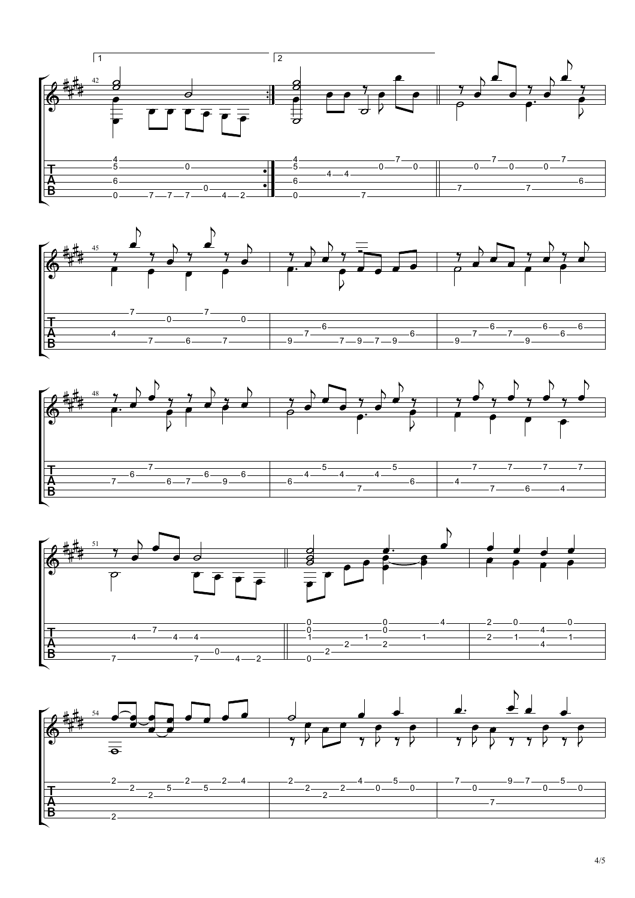